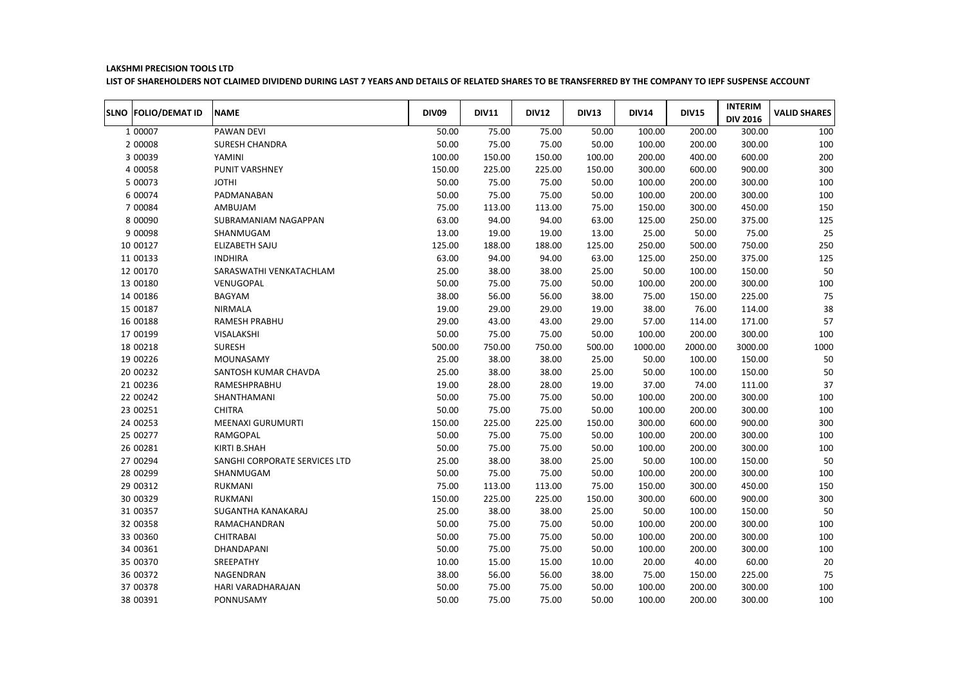## LAKSHMI PRECISION TOOLS LTD

LIST OF SHAREHOLDERS NOT CLAIMED DIVIDEND DURING LAST 7 YEARS AND DETAILS OF RELATED SHARES TO BE TRANSFERRED BY THE COMPANY TO IEPF SUSPENSE ACCOUNT

| SLNO FOLIO/DEMAT ID | <b>NAME</b>                   | <b>DIV09</b> | <b>DIV11</b> | <b>DIV12</b> | <b>DIV13</b> | <b>DIV14</b> | <b>DIV15</b> | <b>INTERIM</b><br><b>DIV 2016</b> | <b>VALID SHARES</b> |
|---------------------|-------------------------------|--------------|--------------|--------------|--------------|--------------|--------------|-----------------------------------|---------------------|
| 1 00007             | PAWAN DEVI                    | 50.00        | 75.00        | 75.00        | 50.00        | 100.00       | 200.00       | 300.00                            | 100                 |
| 2 00008             | <b>SURESH CHANDRA</b>         | 50.00        | 75.00        | 75.00        | 50.00        | 100.00       | 200.00       | 300.00                            | 100                 |
| 3 00039             | YAMINI                        | 100.00       | 150.00       | 150.00       | 100.00       | 200.00       | 400.00       | 600.00                            | 200                 |
| 4 00058             | PUNIT VARSHNEY                | 150.00       | 225.00       | 225.00       | 150.00       | 300.00       | 600.00       | 900.00                            | 300                 |
| 5 00073             | <b>JOTHI</b>                  | 50.00        | 75.00        | 75.00        | 50.00        | 100.00       | 200.00       | 300.00                            | 100                 |
| 6 00074             | PADMANABAN                    | 50.00        | 75.00        | 75.00        | 50.00        | 100.00       | 200.00       | 300.00                            | 100                 |
| 7 00084             | AMBUJAM                       | 75.00        | 113.00       | 113.00       | 75.00        | 150.00       | 300.00       | 450.00                            | 150                 |
| 8 00090             | SUBRAMANIAM NAGAPPAN          | 63.00        | 94.00        | 94.00        | 63.00        | 125.00       | 250.00       | 375.00                            | 125                 |
| 9 00098             | SHANMUGAM                     | 13.00        | 19.00        | 19.00        | 13.00        | 25.00        | 50.00        | 75.00                             | 25                  |
| 10 00127            | ELIZABETH SAJU                | 125.00       | 188.00       | 188.00       | 125.00       | 250.00       | 500.00       | 750.00                            | 250                 |
| 11 00133            | <b>INDHIRA</b>                | 63.00        | 94.00        | 94.00        | 63.00        | 125.00       | 250.00       | 375.00                            | 125                 |
| 12 00170            | SARASWATHI VENKATACHLAM       | 25.00        | 38.00        | 38.00        | 25.00        | 50.00        | 100.00       | 150.00                            | 50                  |
| 13 00180            | VENUGOPAL                     | 50.00        | 75.00        | 75.00        | 50.00        | 100.00       | 200.00       | 300.00                            | 100                 |
| 14 00186            | BAGYAM                        | 38.00        | 56.00        | 56.00        | 38.00        | 75.00        | 150.00       | 225.00                            | 75                  |
| 15 00187            | NIRMALA                       | 19.00        | 29.00        | 29.00        | 19.00        | 38.00        | 76.00        | 114.00                            | 38                  |
| 16 00188            | <b>RAMESH PRABHU</b>          | 29.00        | 43.00        | 43.00        | 29.00        | 57.00        | 114.00       | 171.00                            | 57                  |
| 17 00199            | VISALAKSHI                    | 50.00        | 75.00        | 75.00        | 50.00        | 100.00       | 200.00       | 300.00                            | 100                 |
| 18 00218            | <b>SURESH</b>                 | 500.00       | 750.00       | 750.00       | 500.00       | 1000.00      | 2000.00      | 3000.00                           | 1000                |
| 19 00226            | MOUNASAMY                     | 25.00        | 38.00        | 38.00        | 25.00        | 50.00        | 100.00       | 150.00                            | 50                  |
| 20 00232            | SANTOSH KUMAR CHAVDA          | 25.00        | 38.00        | 38.00        | 25.00        | 50.00        | 100.00       | 150.00                            | 50                  |
| 21 00236            | RAMESHPRABHU                  | 19.00        | 28.00        | 28.00        | 19.00        | 37.00        | 74.00        | 111.00                            | 37                  |
| 22 00242            | SHANTHAMANI                   | 50.00        | 75.00        | 75.00        | 50.00        | 100.00       | 200.00       | 300.00                            | 100                 |
| 23 00251            | <b>CHITRA</b>                 | 50.00        | 75.00        | 75.00        | 50.00        | 100.00       | 200.00       | 300.00                            | 100                 |
| 24 00253            | <b>MEENAXI GURUMURTI</b>      | 150.00       | 225.00       | 225.00       | 150.00       | 300.00       | 600.00       | 900.00                            | 300                 |
| 25 00277            | RAMGOPAL                      | 50.00        | 75.00        | 75.00        | 50.00        | 100.00       | 200.00       | 300.00                            | 100                 |
| 26 00281            | KIRTI B.SHAH                  | 50.00        | 75.00        | 75.00        | 50.00        | 100.00       | 200.00       | 300.00                            | 100                 |
| 27 00294            | SANGHI CORPORATE SERVICES LTD | 25.00        | 38.00        | 38.00        | 25.00        | 50.00        | 100.00       | 150.00                            | 50                  |
| 28 00299            | SHANMUGAM                     | 50.00        | 75.00        | 75.00        | 50.00        | 100.00       | 200.00       | 300.00                            | 100                 |
| 29 00312            | <b>RUKMANI</b>                | 75.00        | 113.00       | 113.00       | 75.00        | 150.00       | 300.00       | 450.00                            | 150                 |
| 30 00329            | <b>RUKMANI</b>                | 150.00       | 225.00       | 225.00       | 150.00       | 300.00       | 600.00       | 900.00                            | 300                 |
| 31 00357            | SUGANTHA KANAKARAJ            | 25.00        | 38.00        | 38.00        | 25.00        | 50.00        | 100.00       | 150.00                            | 50                  |
| 32 00358            | RAMACHANDRAN                  | 50.00        | 75.00        | 75.00        | 50.00        | 100.00       | 200.00       | 300.00                            | 100                 |
| 33 00360            | <b>CHITRABAI</b>              | 50.00        | 75.00        | 75.00        | 50.00        | 100.00       | 200.00       | 300.00                            | 100                 |
| 34 00361            | DHANDAPANI                    | 50.00        | 75.00        | 75.00        | 50.00        | 100.00       | 200.00       | 300.00                            | 100                 |
| 35 00370            | SREEPATHY                     | 10.00        | 15.00        | 15.00        | 10.00        | 20.00        | 40.00        | 60.00                             | 20                  |
| 36 00372            | NAGENDRAN                     | 38.00        | 56.00        | 56.00        | 38.00        | 75.00        | 150.00       | 225.00                            | 75                  |
| 37 00378            | HARI VARADHARAJAN             | 50.00        | 75.00        | 75.00        | 50.00        | 100.00       | 200.00       | 300.00                            | 100                 |
| 38 00391            | PONNUSAMY                     | 50.00        | 75.00        | 75.00        | 50.00        | 100.00       | 200.00       | 300.00                            | 100                 |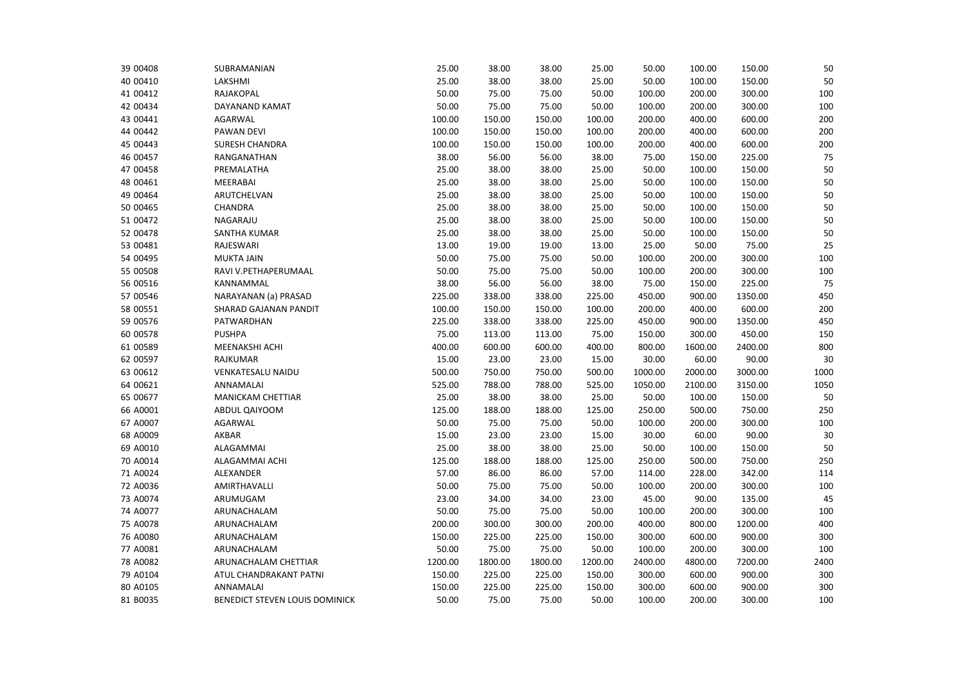| 39 00408 | SUBRAMANIAN                    | 25.00   | 38.00   | 38.00   | 25.00   | 50.00   | 100.00  | 150.00  | 50   |
|----------|--------------------------------|---------|---------|---------|---------|---------|---------|---------|------|
| 40 00410 | LAKSHMI                        | 25.00   | 38.00   | 38.00   | 25.00   | 50.00   | 100.00  | 150.00  | 50   |
| 41 00412 | RAJAKOPAL                      | 50.00   | 75.00   | 75.00   | 50.00   | 100.00  | 200.00  | 300.00  | 100  |
| 42 00434 | DAYANAND KAMAT                 | 50.00   | 75.00   | 75.00   | 50.00   | 100.00  | 200.00  | 300.00  | 100  |
| 43 00441 | <b>AGARWAL</b>                 | 100.00  | 150.00  | 150.00  | 100.00  | 200.00  | 400.00  | 600.00  | 200  |
| 44 00442 | PAWAN DEVI                     | 100.00  | 150.00  | 150.00  | 100.00  | 200.00  | 400.00  | 600.00  | 200  |
| 45 00443 | SURESH CHANDRA                 | 100.00  | 150.00  | 150.00  | 100.00  | 200.00  | 400.00  | 600.00  | 200  |
| 46 00457 | RANGANATHAN                    | 38.00   | 56.00   | 56.00   | 38.00   | 75.00   | 150.00  | 225.00  | 75   |
| 47 00458 | PREMALATHA                     | 25.00   | 38.00   | 38.00   | 25.00   | 50.00   | 100.00  | 150.00  | 50   |
| 48 00461 | MEERABAI                       | 25.00   | 38.00   | 38.00   | 25.00   | 50.00   | 100.00  | 150.00  | 50   |
| 49 00464 | ARUTCHELVAN                    | 25.00   | 38.00   | 38.00   | 25.00   | 50.00   | 100.00  | 150.00  | 50   |
| 50 00465 | CHANDRA                        | 25.00   | 38.00   | 38.00   | 25.00   | 50.00   | 100.00  | 150.00  | 50   |
| 51 00472 | NAGARAJU                       | 25.00   | 38.00   | 38.00   | 25.00   | 50.00   | 100.00  | 150.00  | 50   |
| 52 00478 | SANTHA KUMAR                   | 25.00   | 38.00   | 38.00   | 25.00   | 50.00   | 100.00  | 150.00  | 50   |
| 53 00481 | RAJESWARI                      | 13.00   | 19.00   | 19.00   | 13.00   | 25.00   | 50.00   | 75.00   | 25   |
| 54 00495 | <b>MUKTA JAIN</b>              | 50.00   | 75.00   | 75.00   | 50.00   | 100.00  | 200.00  | 300.00  | 100  |
| 55 00508 | RAVI V.PETHAPERUMAAL           | 50.00   | 75.00   | 75.00   | 50.00   | 100.00  | 200.00  | 300.00  | 100  |
| 56 00516 | KANNAMMAL                      | 38.00   | 56.00   | 56.00   | 38.00   | 75.00   | 150.00  | 225.00  | 75   |
| 57 00546 | NARAYANAN (a) PRASAD           | 225.00  | 338.00  | 338.00  | 225.00  | 450.00  | 900.00  | 1350.00 | 450  |
| 58 00551 | SHARAD GAJANAN PANDIT          | 100.00  | 150.00  | 150.00  | 100.00  | 200.00  | 400.00  | 600.00  | 200  |
| 59 00576 | PATWARDHAN                     | 225.00  | 338.00  | 338.00  | 225.00  | 450.00  | 900.00  | 1350.00 | 450  |
| 60 00578 | <b>PUSHPA</b>                  | 75.00   | 113.00  | 113.00  | 75.00   | 150.00  | 300.00  | 450.00  | 150  |
| 61 00589 | <b>MEENAKSHI ACHI</b>          | 400.00  | 600.00  | 600.00  | 400.00  | 800.00  | 1600.00 | 2400.00 | 800  |
| 62 00597 | RAJKUMAR                       | 15.00   | 23.00   | 23.00   | 15.00   | 30.00   | 60.00   | 90.00   | 30   |
| 63 00612 | VENKATESALU NAIDU              | 500.00  | 750.00  | 750.00  | 500.00  | 1000.00 | 2000.00 | 3000.00 | 1000 |
| 64 00621 | ANNAMALAI                      | 525.00  | 788.00  | 788.00  | 525.00  | 1050.00 | 2100.00 | 3150.00 | 1050 |
| 65 00677 | MANICKAM CHETTIAR              | 25.00   | 38.00   | 38.00   | 25.00   | 50.00   | 100.00  | 150.00  | 50   |
| 66 A0001 | ABDUL QAIYOOM                  | 125.00  | 188.00  | 188.00  | 125.00  | 250.00  | 500.00  | 750.00  | 250  |
| 67 A0007 | <b>AGARWAL</b>                 | 50.00   | 75.00   | 75.00   | 50.00   | 100.00  | 200.00  | 300.00  | 100  |
| 68 A0009 | AKBAR                          | 15.00   | 23.00   | 23.00   | 15.00   | 30.00   | 60.00   | 90.00   | 30   |
| 69 A0010 | ALAGAMMAI                      | 25.00   | 38.00   | 38.00   | 25.00   | 50.00   | 100.00  | 150.00  | 50   |
| 70 A0014 | ALAGAMMAI ACHI                 | 125.00  | 188.00  | 188.00  | 125.00  | 250.00  | 500.00  | 750.00  | 250  |
| 71 A0024 | ALEXANDER                      | 57.00   | 86.00   | 86.00   | 57.00   | 114.00  | 228.00  | 342.00  | 114  |
| 72 A0036 | AMIRTHAVALLI                   | 50.00   | 75.00   | 75.00   | 50.00   | 100.00  | 200.00  | 300.00  | 100  |
| 73 A0074 | ARUMUGAM                       | 23.00   | 34.00   | 34.00   | 23.00   | 45.00   | 90.00   | 135.00  | 45   |
| 74 A0077 | ARUNACHALAM                    | 50.00   | 75.00   | 75.00   | 50.00   | 100.00  | 200.00  | 300.00  | 100  |
| 75 A0078 | ARUNACHALAM                    | 200.00  | 300.00  | 300.00  | 200.00  | 400.00  | 800.00  | 1200.00 | 400  |
| 76 A0080 | ARUNACHALAM                    | 150.00  | 225.00  | 225.00  | 150.00  | 300.00  | 600.00  | 900.00  | 300  |
| 77 A0081 | ARUNACHALAM                    | 50.00   | 75.00   | 75.00   | 50.00   | 100.00  | 200.00  | 300.00  | 100  |
| 78 A0082 | ARUNACHALAM CHETTIAR           | 1200.00 | 1800.00 | 1800.00 | 1200.00 | 2400.00 | 4800.00 | 7200.00 | 2400 |
| 79 A0104 | ATUL CHANDRAKANT PATNI         | 150.00  | 225.00  | 225.00  | 150.00  | 300.00  | 600.00  | 900.00  | 300  |
| 80 A0105 | ANNAMALAI                      | 150.00  | 225.00  | 225.00  | 150.00  | 300.00  | 600.00  | 900.00  | 300  |
| 81 B0035 | BENEDICT STEVEN LOUIS DOMINICK | 50.00   | 75.00   | 75.00   | 50.00   | 100.00  | 200.00  | 300.00  | 100  |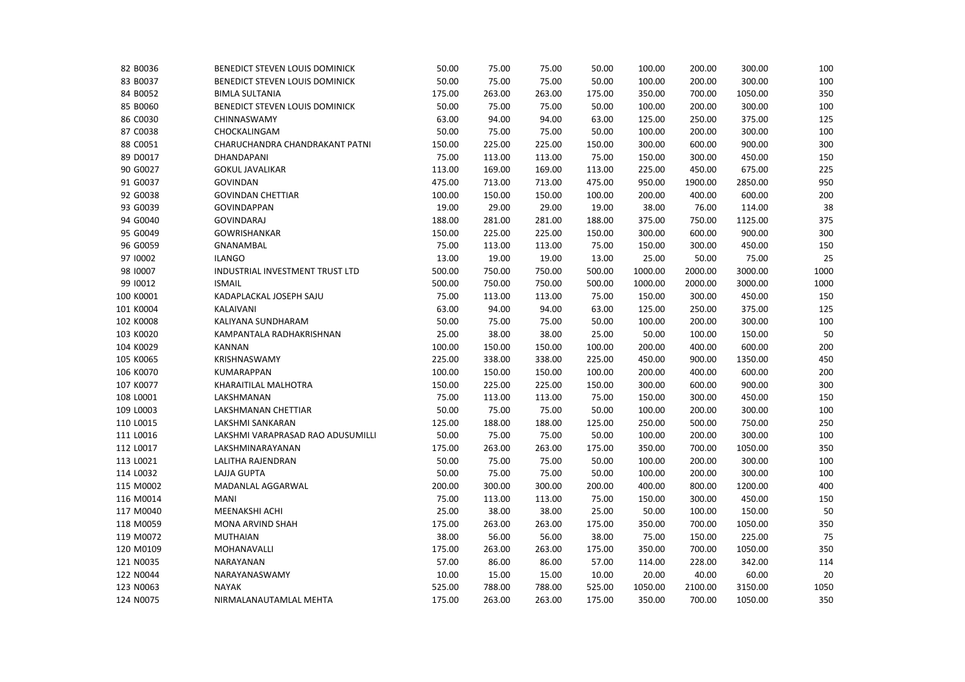| BENEDICT STEVEN LOUIS DOMINICK    | 50.00  |        |        |        |         |         |         |      |
|-----------------------------------|--------|--------|--------|--------|---------|---------|---------|------|
|                                   |        | 75.00  | 75.00  | 50.00  | 100.00  | 200.00  | 300.00  | 100  |
| <b>BIMLA SULTANIA</b>             | 175.00 | 263.00 | 263.00 | 175.00 | 350.00  | 700.00  | 1050.00 | 350  |
| BENEDICT STEVEN LOUIS DOMINICK    | 50.00  | 75.00  | 75.00  | 50.00  | 100.00  | 200.00  | 300.00  | 100  |
| CHINNASWAMY                       | 63.00  | 94.00  | 94.00  | 63.00  | 125.00  | 250.00  | 375.00  | 125  |
| CHOCKALINGAM                      | 50.00  | 75.00  | 75.00  | 50.00  | 100.00  | 200.00  | 300.00  | 100  |
| CHARUCHANDRA CHANDRAKANT PATNI    | 150.00 | 225.00 | 225.00 | 150.00 | 300.00  | 600.00  | 900.00  | 300  |
| DHANDAPANI                        | 75.00  | 113.00 | 113.00 | 75.00  | 150.00  | 300.00  | 450.00  | 150  |
| <b>GOKUL JAVALIKAR</b>            | 113.00 | 169.00 | 169.00 | 113.00 | 225.00  | 450.00  | 675.00  | 225  |
| <b>GOVINDAN</b>                   | 475.00 | 713.00 | 713.00 | 475.00 | 950.00  | 1900.00 | 2850.00 | 950  |
| <b>GOVINDAN CHETTIAR</b>          | 100.00 | 150.00 | 150.00 | 100.00 | 200.00  | 400.00  | 600.00  | 200  |
| <b>GOVINDAPPAN</b>                | 19.00  | 29.00  | 29.00  | 19.00  | 38.00   | 76.00   | 114.00  | 38   |
| <b>GOVINDARAJ</b>                 | 188.00 | 281.00 | 281.00 | 188.00 | 375.00  | 750.00  | 1125.00 | 375  |
| <b>GOWRISHANKAR</b>               | 150.00 | 225.00 | 225.00 | 150.00 | 300.00  | 600.00  | 900.00  | 300  |
| GNANAMBAL                         | 75.00  | 113.00 | 113.00 | 75.00  | 150.00  | 300.00  | 450.00  | 150  |
| <b>ILANGO</b>                     | 13.00  | 19.00  | 19.00  | 13.00  | 25.00   | 50.00   | 75.00   | 25   |
| INDUSTRIAL INVESTMENT TRUST LTD   | 500.00 | 750.00 | 750.00 | 500.00 | 1000.00 | 2000.00 | 3000.00 | 1000 |
| <b>ISMAIL</b>                     | 500.00 | 750.00 | 750.00 | 500.00 | 1000.00 | 2000.00 | 3000.00 | 1000 |
| KADAPLACKAL JOSEPH SAJU           | 75.00  | 113.00 | 113.00 | 75.00  | 150.00  | 300.00  | 450.00  | 150  |
| KALAIVANI                         | 63.00  | 94.00  | 94.00  | 63.00  | 125.00  | 250.00  | 375.00  | 125  |
| KALIYANA SUNDHARAM                | 50.00  | 75.00  | 75.00  | 50.00  | 100.00  | 200.00  | 300.00  | 100  |
| KAMPANTALA RADHAKRISHNAN          | 25.00  | 38.00  | 38.00  | 25.00  | 50.00   | 100.00  | 150.00  | 50   |
| <b>KANNAN</b>                     | 100.00 | 150.00 | 150.00 | 100.00 | 200.00  | 400.00  | 600.00  | 200  |
| KRISHNASWAMY                      | 225.00 | 338.00 | 338.00 | 225.00 | 450.00  | 900.00  | 1350.00 | 450  |
| <b>KUMARAPPAN</b>                 | 100.00 | 150.00 | 150.00 | 100.00 | 200.00  | 400.00  | 600.00  | 200  |
| KHARAITILAL MALHOTRA              | 150.00 | 225.00 | 225.00 | 150.00 | 300.00  | 600.00  | 900.00  | 300  |
| LAKSHMANAN                        | 75.00  | 113.00 | 113.00 | 75.00  | 150.00  | 300.00  | 450.00  | 150  |
| LAKSHMANAN CHETTIAR               | 50.00  | 75.00  | 75.00  | 50.00  | 100.00  | 200.00  | 300.00  | 100  |
| LAKSHMI SANKARAN                  | 125.00 | 188.00 | 188.00 | 125.00 | 250.00  | 500.00  | 750.00  | 250  |
| LAKSHMI VARAPRASAD RAO ADUSUMILLI | 50.00  | 75.00  | 75.00  | 50.00  | 100.00  | 200.00  | 300.00  | 100  |
| LAKSHMINARAYANAN                  | 175.00 | 263.00 | 263.00 | 175.00 | 350.00  | 700.00  | 1050.00 | 350  |
| LALITHA RAJENDRAN                 | 50.00  | 75.00  | 75.00  | 50.00  | 100.00  | 200.00  | 300.00  | 100  |
| LAJJA GUPTA                       | 50.00  | 75.00  | 75.00  | 50.00  | 100.00  | 200.00  | 300.00  | 100  |
| MADANLAL AGGARWAL                 | 200.00 | 300.00 | 300.00 | 200.00 | 400.00  | 800.00  | 1200.00 | 400  |
| <b>MANI</b>                       | 75.00  | 113.00 | 113.00 | 75.00  | 150.00  | 300.00  | 450.00  | 150  |
| MEENAKSHI ACHI                    | 25.00  | 38.00  | 38.00  | 25.00  | 50.00   | 100.00  | 150.00  | 50   |
| <b>MONA ARVIND SHAH</b>           | 175.00 | 263.00 | 263.00 | 175.00 | 350.00  | 700.00  | 1050.00 | 350  |
| <b>MUTHAIAN</b>                   | 38.00  | 56.00  | 56.00  | 38.00  | 75.00   | 150.00  | 225.00  | 75   |
| MOHANAVALLI                       | 175.00 | 263.00 | 263.00 | 175.00 | 350.00  | 700.00  | 1050.00 | 350  |
| NARAYANAN                         | 57.00  | 86.00  | 86.00  | 57.00  | 114.00  | 228.00  | 342.00  | 114  |
| NARAYANASWAMY                     | 10.00  | 15.00  | 15.00  | 10.00  | 20.00   | 40.00   | 60.00   | 20   |
| <b>NAYAK</b>                      | 525.00 | 788.00 | 788.00 | 525.00 | 1050.00 | 2100.00 | 3150.00 | 1050 |
| NIRMALANAUTAMLAL MEHTA            | 175.00 | 263.00 | 263.00 | 175.00 | 350.00  | 700.00  | 1050.00 | 350  |
|                                   |        |        |        |        |         |         |         |      |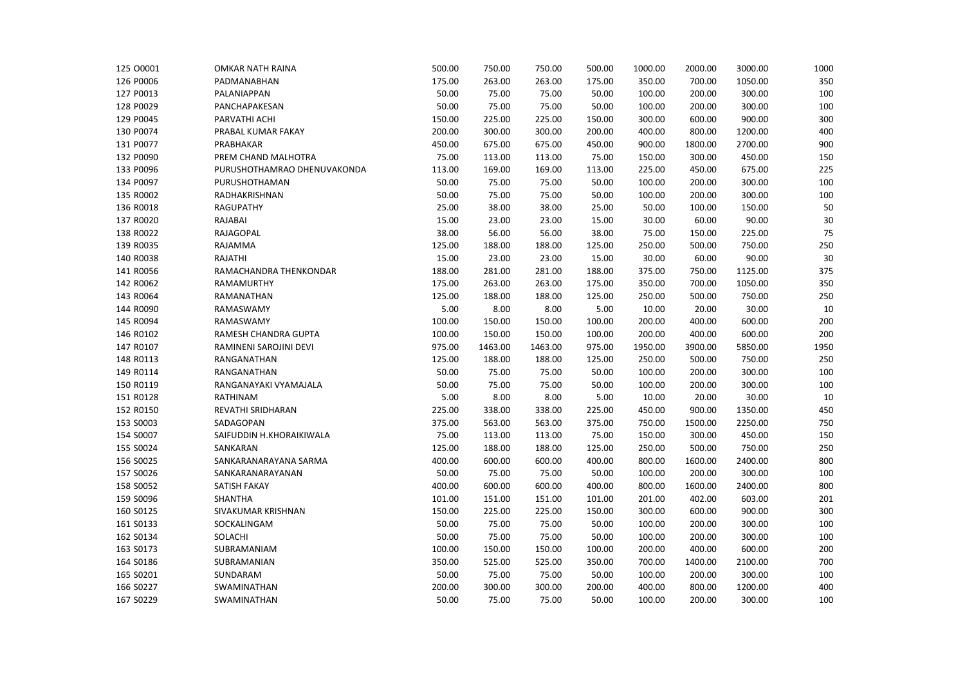| 125 00001 | <b>OMKAR NATH RAINA</b>     | 500.00 | 750.00  | 750.00  | 500.00 | 1000.00 | 2000.00 | 3000.00 | 1000 |
|-----------|-----------------------------|--------|---------|---------|--------|---------|---------|---------|------|
| 126 P0006 | PADMANABHAN                 | 175.00 | 263.00  | 263.00  | 175.00 | 350.00  | 700.00  | 1050.00 | 350  |
| 127 P0013 | PALANIAPPAN                 | 50.00  | 75.00   | 75.00   | 50.00  | 100.00  | 200.00  | 300.00  | 100  |
| 128 P0029 | PANCHAPAKESAN               | 50.00  | 75.00   | 75.00   | 50.00  | 100.00  | 200.00  | 300.00  | 100  |
| 129 P0045 | PARVATHI ACHI               | 150.00 | 225.00  | 225.00  | 150.00 | 300.00  | 600.00  | 900.00  | 300  |
| 130 P0074 | PRABAL KUMAR FAKAY          | 200.00 | 300.00  | 300.00  | 200.00 | 400.00  | 800.00  | 1200.00 | 400  |
| 131 P0077 | PRABHAKAR                   | 450.00 | 675.00  | 675.00  | 450.00 | 900.00  | 1800.00 | 2700.00 | 900  |
| 132 P0090 | PREM CHAND MALHOTRA         | 75.00  | 113.00  | 113.00  | 75.00  | 150.00  | 300.00  | 450.00  | 150  |
| 133 P0096 | PURUSHOTHAMRAO DHENUVAKONDA | 113.00 | 169.00  | 169.00  | 113.00 | 225.00  | 450.00  | 675.00  | 225  |
| 134 P0097 | PURUSHOTHAMAN               | 50.00  | 75.00   | 75.00   | 50.00  | 100.00  | 200.00  | 300.00  | 100  |
| 135 R0002 | RADHAKRISHNAN               | 50.00  | 75.00   | 75.00   | 50.00  | 100.00  | 200.00  | 300.00  | 100  |
| 136 R0018 | <b>RAGUPATHY</b>            | 25.00  | 38.00   | 38.00   | 25.00  | 50.00   | 100.00  | 150.00  | 50   |
| 137 R0020 | RAJABAI                     | 15.00  | 23.00   | 23.00   | 15.00  | 30.00   | 60.00   | 90.00   | 30   |
| 138 R0022 | RAJAGOPAL                   | 38.00  | 56.00   | 56.00   | 38.00  | 75.00   | 150.00  | 225.00  | 75   |
| 139 R0035 | RAJAMMA                     | 125.00 | 188.00  | 188.00  | 125.00 | 250.00  | 500.00  | 750.00  | 250  |
| 140 R0038 | RAJATHI                     | 15.00  | 23.00   | 23.00   | 15.00  | 30.00   | 60.00   | 90.00   | 30   |
| 141 R0056 | RAMACHANDRA THENKONDAR      | 188.00 | 281.00  | 281.00  | 188.00 | 375.00  | 750.00  | 1125.00 | 375  |
| 142 R0062 | RAMAMURTHY                  | 175.00 | 263.00  | 263.00  | 175.00 | 350.00  | 700.00  | 1050.00 | 350  |
| 143 R0064 | RAMANATHAN                  | 125.00 | 188.00  | 188.00  | 125.00 | 250.00  | 500.00  | 750.00  | 250  |
| 144 R0090 | RAMASWAMY                   | 5.00   | 8.00    | 8.00    | 5.00   | 10.00   | 20.00   | 30.00   | 10   |
| 145 R0094 | RAMASWAMY                   | 100.00 | 150.00  | 150.00  | 100.00 | 200.00  | 400.00  | 600.00  | 200  |
| 146 R0102 | RAMESH CHANDRA GUPTA        | 100.00 | 150.00  | 150.00  | 100.00 | 200.00  | 400.00  | 600.00  | 200  |
| 147 R0107 | RAMINENI SAROJINI DEVI      | 975.00 | 1463.00 | 1463.00 | 975.00 | 1950.00 | 3900.00 | 5850.00 | 1950 |
| 148 R0113 | RANGANATHAN                 | 125.00 | 188.00  | 188.00  | 125.00 | 250.00  | 500.00  | 750.00  | 250  |
| 149 R0114 | RANGANATHAN                 | 50.00  | 75.00   | 75.00   | 50.00  | 100.00  | 200.00  | 300.00  | 100  |
| 150 R0119 | RANGANAYAKI VYAMAJALA       | 50.00  | 75.00   | 75.00   | 50.00  | 100.00  | 200.00  | 300.00  | 100  |
| 151 R0128 | RATHINAM                    | 5.00   | 8.00    | 8.00    | 5.00   | 10.00   | 20.00   | 30.00   | 10   |
| 152 R0150 | REVATHI SRIDHARAN           | 225.00 | 338.00  | 338.00  | 225.00 | 450.00  | 900.00  | 1350.00 | 450  |
| 153 S0003 | SADAGOPAN                   | 375.00 | 563.00  | 563.00  | 375.00 | 750.00  | 1500.00 | 2250.00 | 750  |
| 154 S0007 | SAIFUDDIN H.KHORAIKIWALA    | 75.00  | 113.00  | 113.00  | 75.00  | 150.00  | 300.00  | 450.00  | 150  |
| 155 S0024 | SANKARAN                    | 125.00 | 188.00  | 188.00  | 125.00 | 250.00  | 500.00  | 750.00  | 250  |
| 156 S0025 | SANKARANARAYANA SARMA       | 400.00 | 600.00  | 600.00  | 400.00 | 800.00  | 1600.00 | 2400.00 | 800  |
| 157 S0026 | SANKARANARAYANAN            | 50.00  | 75.00   | 75.00   | 50.00  | 100.00  | 200.00  | 300.00  | 100  |
| 158 S0052 | SATISH FAKAY                | 400.00 | 600.00  | 600.00  | 400.00 | 800.00  | 1600.00 | 2400.00 | 800  |
| 159 S0096 | <b>SHANTHA</b>              | 101.00 | 151.00  | 151.00  | 101.00 | 201.00  | 402.00  | 603.00  | 201  |
| 160 S0125 | SIVAKUMAR KRISHNAN          | 150.00 | 225.00  | 225.00  | 150.00 | 300.00  | 600.00  | 900.00  | 300  |
| 161 S0133 | SOCKALINGAM                 | 50.00  | 75.00   | 75.00   | 50.00  | 100.00  | 200.00  | 300.00  | 100  |
| 162 S0134 | SOLACHI                     | 50.00  | 75.00   | 75.00   | 50.00  | 100.00  | 200.00  | 300.00  | 100  |
| 163 S0173 | SUBRAMANIAM                 | 100.00 | 150.00  | 150.00  | 100.00 | 200.00  | 400.00  | 600.00  | 200  |
| 164 S0186 | SUBRAMANIAN                 | 350.00 | 525.00  | 525.00  | 350.00 | 700.00  | 1400.00 | 2100.00 | 700  |
| 165 S0201 | SUNDARAM                    | 50.00  | 75.00   | 75.00   | 50.00  | 100.00  | 200.00  | 300.00  | 100  |
| 166 S0227 | SWAMINATHAN                 | 200.00 | 300.00  | 300.00  | 200.00 | 400.00  | 800.00  | 1200.00 | 400  |
| 167 S0229 | SWAMINATHAN                 | 50.00  | 75.00   | 75.00   | 50.00  | 100.00  | 200.00  | 300.00  | 100  |
|           |                             |        |         |         |        |         |         |         |      |